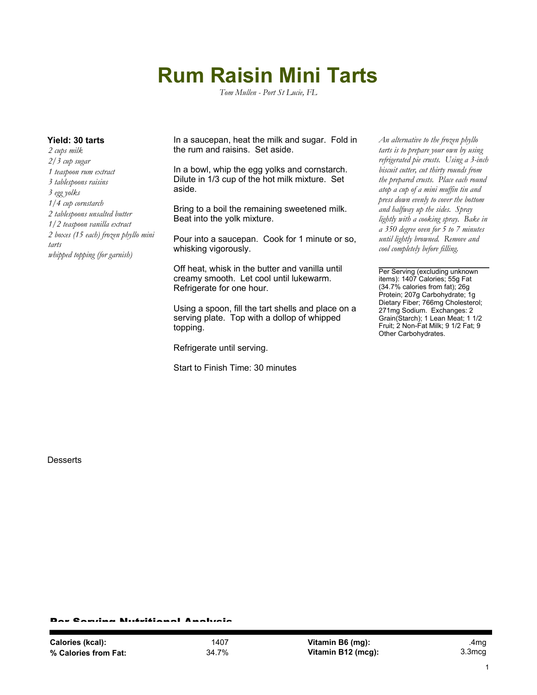## **Rum Raisin Mini Tarts**

*Tom Mullen - Port St Lucie, FL*

*2 cups milk 2/3 cup sugar 1 teaspoon rum extract 3 tablespoons raisins 3 egg yolks 1/4 cup cornstarch 2 tablespoons unsalted butter 1/2 teaspoon vanilla extract 2 boxes (15 each) frozen phyllo mini tarts whipped topping (for garnish)*

**Yield: 30 tarts** In a saucepan, heat the milk and sugar. Fold in the rum and raisins. Set aside.

> In a bowl, whip the egg yolks and cornstarch. Dilute in 1/3 cup of the hot milk mixture. Set aside.

> Bring to a boil the remaining sweetened milk. Beat into the yolk mixture.

Pour into a saucepan. Cook for 1 minute or so, whisking vigorously.

Off heat, whisk in the butter and vanilla until creamy smooth. Let cool until lukewarm. Refrigerate for one hour.

Using a spoon, fill the tart shells and place on a serving plate. Top with a dollop of whipped topping.

Refrigerate until serving.

Start to Finish Time: 30 minutes

*An alternative to the frozen phyllo tarts is to prepare your own by using refrigerated pie crusts. Using a 3-inch biscuit cutter, cut thirty rounds from the prepared crusts. Place each round atop a cup of a mini muffin tin and press down evenly to cover the bottom and halfway up the sides. Spray lightly with a cooking spray. Bake in a 350 degree oven for 5 to 7 minutes until lightly browned. Remove and cool completely before filling.*

Per Serving (excluding unknown items): 1407 Calories; 55g Fat (34.7% calories from fat); 26g Protein; 207g Carbohydrate; 1g Dietary Fiber; 766mg Cholesterol; 271mg Sodium. Exchanges: 2 Grain(Starch); 1 Lean Meat; 1 1/2 Fruit; 2 Non-Fat Milk; 9 1/2 Fat; 9 Other Carbohydrates.

**Desserts** 

Per Serving Nutritional Analysis